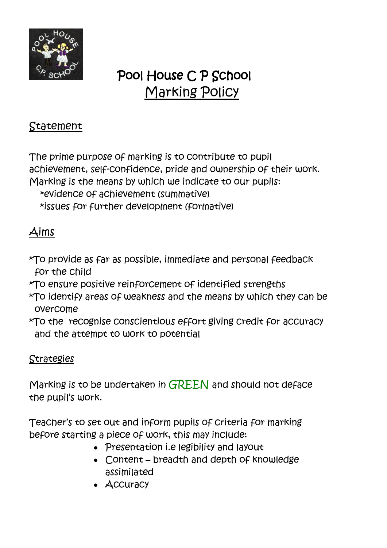

# Pool House C P School Marking Policy

### Statement

The prime purpose of marking is to contribute to pupil achievement, self-confidence, pride and ownership of their work. Marking is the means by which we indicate to our pupils: \*evidence of achievement (summative) \*issues for further development (formative)

## Aims

- \*To provide as far as possible, immediate and personal feedback for the child
- \*To ensure positive reinforcement of identified strengths
- \*To identify areas of weakness and the means by which they can be overcome
- \*To the recognise conscientious effort giving credit for accuracy and the attempt to work to potential

#### Strategies

Marking is to be undertaken in GREEN and should not deface the pupil's work.

Teacher's to set out and inform pupils of criteria for marking before starting a piece of work, this may include:

- Presentation i.e legibility and layout
- Content breadth and depth of knowledge assimilated
- Accuracy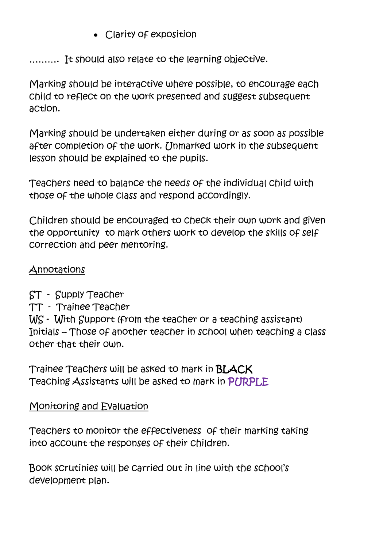Clarity of exposition

………. It should also relate to the learning objective.

Marking should be interactive where possible, to encourage each child to reflect on the work presented and suggest subsequent action.

Marking should be undertaken either during or as soon as possible after completion of the work. [Inmarked work in the subsequent lesson should be explained to the pupils.

Teachers need to balance the needs of the individual child with those of the whole class and respond accordingly.

Children should be encouraged to check their own work and given the opportunity to mark others work to develop the skills of self correction and peer mentoring.

#### Annotations

ST - Supply Teacher

TT - Trainee Teacher

WS - With Support (from the teacher or a teaching assistant) Initials – Those of another teacher in school when teaching a class other that their own.

Trainee Teachers will be asked to mark in BLACK Teaching Assistants will be asked to mark in PURPLE

#### Monitoring and Evaluation

Teachers to monitor the effectiveness of their marking taking into account the responses of their children.

Book scrutinies will be carried out in line with the school's development plan.